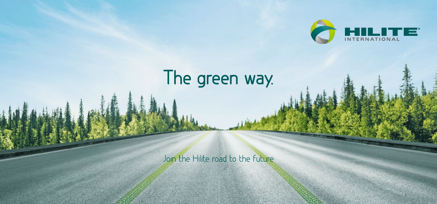

## The green way.

Join the Hilite road to the Future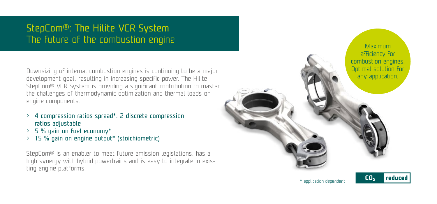## StepCom®: The Hilite VCR System

Downsizing of internal combustion engines is continuing to be a major development goal, resulting in increasing specific power. The Hilite StepCom® VCR System is providing a significant contribution to master the challenges of thermodynamic optimization and thermal loads on engine components:

- 4 compression ratios spread\*, 2 discrete compression ratios adjustable
- > 5 % gain on fuel economy\*
- > 15 % gain on engine output\* (stoichiometric)

StepCom® is an enabler to meet future emission legislations, has a high synergy with hybrid powertrains and is easy to integrate in existing engine platforms.

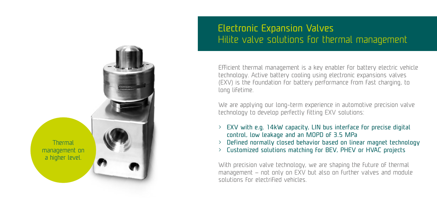

## Electronic Expansion Valves Hilite valve solutions for thermal management

Efficient thermal management is a key enabler for battery electric vehicle technology. Active battery cooling using electronic expansions valves (EXV) is the foundation for battery performance from fast charging, to long lifetime.

We are applying our long-term experience in automotive precision valve technology to develop perfectly fitting EXV solutions:

- $>$  EXV with e.g. 14kW capacity, LIN bus interface for precise digital control, low leakage and an MOPD of 3.5 MPa
- > Defined normally closed behavior based on linear magnet technology
- > Customized solutions matching for BEV, PHEV or HVAC projects

With precision valve technology, we are shaping the future of thermal management – not only on EXV but also on further valves and module solutions for electrified vehicles.